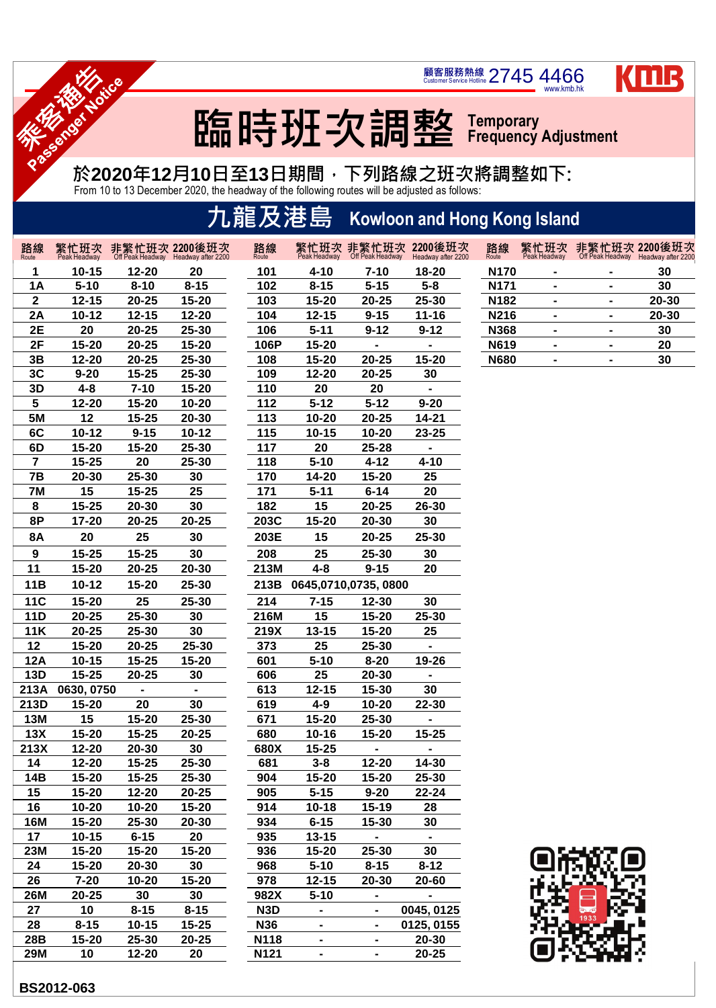www.kmb.hk

KMB

#### **BS2012-063**

#### **臨時班次調整 Temporary Frequency Adjustment**

### **於2020年12月10日至13日期間,下列路線之班次將調整如下:**

From 10 to 13 December 2020, the headway of the following routes will be adjusted as follows:

### **九龍及港島 Kowloon and Hong Kong Island New Territories**

顧客服務熱線 2745 4466

| 路線<br>Route     | 繁忙班次<br>Peak Headway |           | 非繁忙班次 2200後班次<br>Off Peak Headway Headway after 2200 | 路線<br>Route      | 繁忙班次<br>Peak Headway | 非繁忙班次<br>Off Peak Headway | 2200後班次<br>Headway after 2200 | 路線<br>Route       | 繁忙班次<br>Peak Headway         |                | 非繁忙班次 2200後班次<br>Off Peak Headway Headway after 2200 |
|-----------------|----------------------|-----------|------------------------------------------------------|------------------|----------------------|---------------------------|-------------------------------|-------------------|------------------------------|----------------|------------------------------------------------------|
| 1               | $10 - 15$            | $12 - 20$ | 20                                                   | 101              | $4 - 10$             | $7 - 10$                  | 18-20                         | <b>N170</b>       |                              |                | 30                                                   |
| <b>1A</b>       | $5 - 10$             | $8 - 10$  | $8 - 15$                                             | 102              | $8 - 15$             | $5 - 15$                  | $5 - 8$                       | N171              |                              |                | 30                                                   |
| $\overline{2}$  | $12 - 15$            | $20 - 25$ | $15 - 20$                                            | 103              | $15 - 20$            | $20 - 25$                 | $25 - 30$                     | N <sub>1</sub> 82 | $\blacksquare$               |                | 20-30                                                |
| 2A              | $10 - 12$            | $12 - 15$ | $12 - 20$                                            | 104              | $12 - 15$            | $9 - 15$                  | $11 - 16$                     | N216              | ٠                            | ۰              | $20 - 30$                                            |
| 2E              | 20                   | $20 - 25$ | 25-30                                                | 106              | $5 - 11$             | $9 - 12$                  | $9 - 12$                      | <b>N368</b>       | $\qquad \qquad \blacksquare$ | -              | 30                                                   |
| 2F              | $15 - 20$            | $20 - 25$ | $15 - 20$                                            | 106P             | $15 - 20$            |                           |                               | <b>N619</b>       | -                            | -              | 20                                                   |
| 3B              | $12 - 20$            | $20 - 25$ | 25-30                                                | 108              | $15 - 20$            | $20 - 25$                 | $15 - 20$                     | <b>N680</b>       | $\blacksquare$               | $\blacksquare$ | 30                                                   |
| 3C              | $9 - 20$             | $15 - 25$ | 25-30                                                | 109              | $12 - 20$            | $20 - 25$                 | 30                            |                   |                              |                |                                                      |
| 3D              | $4 - 8$              | $7 - 10$  | $15 - 20$                                            | 110              | 20                   | 20                        | $\blacksquare$                |                   |                              |                |                                                      |
| $5\phantom{.0}$ | $12 - 20$            | $15 - 20$ | $10 - 20$                                            | 112              | $5 - 12$             | $5 - 12$                  | $9 - 20$                      |                   |                              |                |                                                      |
| <b>5M</b>       | 12                   | $15 - 25$ | $20 - 30$                                            | 113              | $10 - 20$            | $20 - 25$                 | 14-21                         |                   |                              |                |                                                      |
| 6C              | $10 - 12$            | $9 - 15$  | $10 - 12$                                            | 115              | $10 - 15$            | $10 - 20$                 | 23-25                         |                   |                              |                |                                                      |
| 6D              | $15 - 20$            | $15 - 20$ | $25 - 30$                                            | 117              | 20                   | $25 - 28$                 | $\blacksquare$                |                   |                              |                |                                                      |
| 7               | $15 - 25$            | 20        | 25-30                                                | 118              | $5 - 10$             | $4 - 12$                  | $4 - 10$                      |                   |                              |                |                                                      |
| 7B              | $20 - 30$            | 25-30     | 30                                                   | 170              | 14-20                | $15 - 20$                 | 25                            |                   |                              |                |                                                      |
| <b>7M</b>       | 15                   | $15 - 25$ | 25                                                   | 171              | $5 - 11$             | $6 - 14$                  | 20                            |                   |                              |                |                                                      |
| 8               | $15 - 25$            | 20-30     | 30                                                   | 182              | 15                   | $20 - 25$                 | 26-30                         |                   |                              |                |                                                      |
| <b>8P</b>       | $17 - 20$            | $20 - 25$ | $20 - 25$                                            | 203C             | $15 - 20$            | 20-30                     | 30                            |                   |                              |                |                                                      |
| <b>8A</b>       | 20                   | 25        | 30                                                   | 203E             | 15                   | $20 - 25$                 | $25 - 30$                     |                   |                              |                |                                                      |
| 9               | $15 - 25$            | $15 - 25$ | 30                                                   | 208              | 25                   | 25-30                     | 30                            |                   |                              |                |                                                      |
| 11              | $15 - 20$            | $20 - 25$ | $20 - 30$                                            | 213M             | $4 - 8$              | $9 - 15$                  | 20                            |                   |                              |                |                                                      |
| 11B             | $10 - 12$            | $15 - 20$ | $25 - 30$                                            | 213B             |                      | 0645,0710,0735,0800       |                               |                   |                              |                |                                                      |
| <b>11C</b>      | $15 - 20$            | 25        | $25 - 30$                                            | 214              | $7 - 15$             | $12 - 30$                 | 30                            |                   |                              |                |                                                      |
| 11D             | $20 - 25$            | $25 - 30$ | 30                                                   | 216M             | 15                   | $15 - 20$                 | 25-30                         |                   |                              |                |                                                      |
| <b>11K</b>      | $20 - 25$            | 25-30     | 30                                                   | 219X             | $13 - 15$            | $15 - 20$                 | 25                            |                   |                              |                |                                                      |
| 12              | $15 - 20$            | $20 - 25$ | $25 - 30$                                            | 373              | 25                   | 25-30                     | $\blacksquare$                |                   |                              |                |                                                      |
| <b>12A</b>      | $10 - 15$            | $15 - 25$ | $15 - 20$                                            | 601              | $5 - 10$             | $8 - 20$                  | 19-26                         |                   |                              |                |                                                      |
| <b>13D</b>      | $15 - 25$            | $20 - 25$ | 30                                                   | 606              | 25                   | 20-30                     | ۰                             |                   |                              |                |                                                      |
| 213A            | 0630, 0750           |           | $\blacksquare$                                       | 613              | $12 - 15$            | $15 - 30$                 | 30                            |                   |                              |                |                                                      |
| 213D            | $15 - 20$            | 20        | 30                                                   | 619              | $4 - 9$              | $10 - 20$                 | 22-30                         |                   |                              |                |                                                      |
| 13M             | 15                   | $15 - 20$ | $25 - 30$                                            | 671              | $15 - 20$            | 25-30                     | $\blacksquare$                |                   |                              |                |                                                      |
| 13X             | $15 - 20$            | $15 - 25$ | $20 - 25$                                            | 680              | $10 - 16$            | $15 - 20$                 | $15 - 25$                     |                   |                              |                |                                                      |
| 213X            | $12 - 20$            | 20-30     | 30                                                   | 680X             | $15 - 25$            |                           | ۰                             |                   |                              |                |                                                      |
| 14              | $12 - 20$            | $15 - 25$ | 25-30                                                | 681              | $3 - 8$              | $12 - 20$                 | $14 - 30$                     |                   |                              |                |                                                      |
| <b>14B</b>      | $15 - 20$            | $15 - 25$ | 25-30                                                | 904              | $15 - 20$            | $15 - 20$                 | $25 - 30$                     |                   |                              |                |                                                      |
| 15              | $15 - 20$            | $12 - 20$ | $20 - 25$                                            | 905              | $5 - 15$             | $9 - 20$                  | $22 - 24$                     |                   |                              |                |                                                      |
| 16              | $10 - 20$            | $10 - 20$ | $15 - 20$                                            | 914              | $10 - 18$            | $15 - 19$                 | 28                            |                   |                              |                |                                                      |
| <b>16M</b>      | $15 - 20$            | 25-30     | $20 - 30$                                            | 934              | $6 - 15$             | $15 - 30$                 | 30                            |                   |                              |                |                                                      |
| 17              | $10 - 15$            | $6 - 15$  | 20                                                   | 935              | $13 - 15$            |                           |                               |                   |                              |                |                                                      |
| <b>23M</b>      | $15 - 20$            | $15 - 20$ | $15 - 20$                                            | 936              | $15 - 20$            | $25 - 30$                 | 30                            |                   |                              |                |                                                      |
| 24              | $15 - 20$            | $20 - 30$ | 30                                                   | 968              | $5 - 10$             | $8 - 15$                  | $8 - 12$                      |                   |                              |                |                                                      |
| 26              | $7 - 20$             | $10 - 20$ | $15 - 20$                                            | 978              | $12 - 15$            | $20 - 30$                 | $20 - 60$                     |                   |                              |                |                                                      |
| <b>26M</b>      | $20 - 25$            | 30        | 30                                                   | 982X             | $5 - 10$             |                           |                               |                   |                              |                |                                                      |
| 27              | 10                   | $8 - 15$  | $8 - 15$                                             | N <sub>3</sub> D | $\blacksquare$       | Ξ.                        | 0045, 0125                    |                   |                              |                |                                                      |
| 28              | $8 - 15$             | $10 - 15$ | $15 - 25$                                            | <b>N36</b>       |                      | ٠                         | 0125, 0155                    |                   |                              |                |                                                      |
| <b>28B</b>      | $15 - 20$            | 25-30     | $20 - 25$                                            | <b>N118</b>      | ۰                    |                           | $20 - 30$                     |                   |                              |                |                                                      |
| <b>29M</b>      | 10                   | $12 - 20$ | 20                                                   | N121             |                      |                           | $20 - 25$                     |                   |                              |                |                                                      |

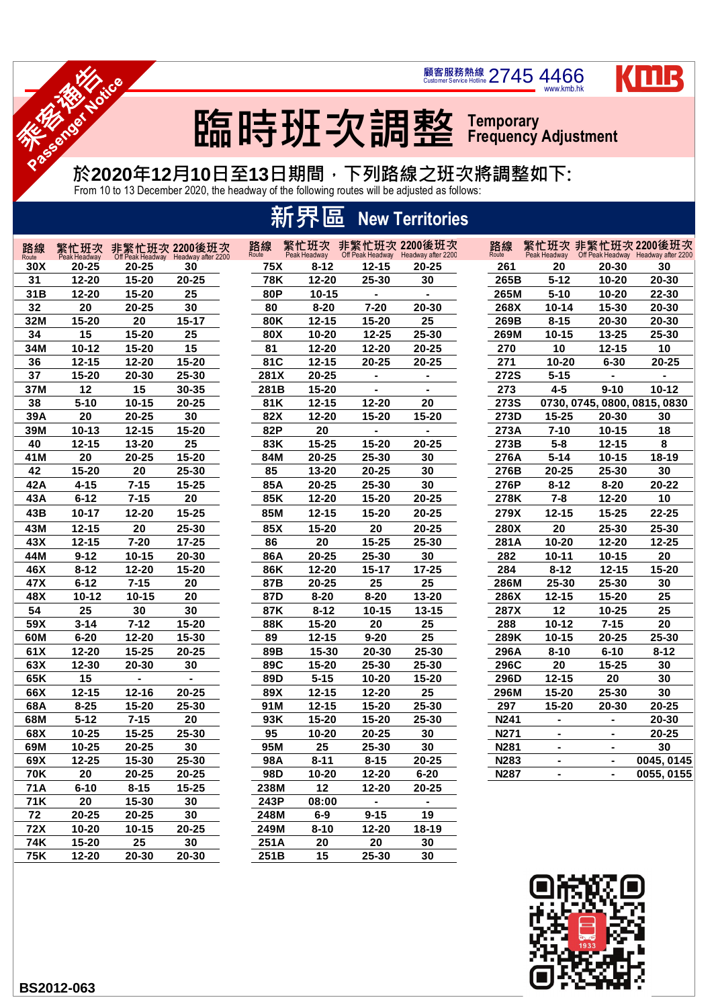www.kmb.hk

KMB



#### **臨時班次調整 Temporary Frequency Adjustment**

顧客服務熱線 2745 4466

### **於2020年12月10日至13日期間,下列路線之班次將調整如下:**

### **新界區 New Territories**

| R                             |                           |           |                                           |             |                      |                  | 於2020年12月10日至13日期間 · 下列路線之班次將調整如下:<br>From 10 to 13 December 2020, the headway of the following routes will be adjusted as follows: |             |                      |           |                                                      |
|-------------------------------|---------------------------|-----------|-------------------------------------------|-------------|----------------------|------------------|-------------------------------------------------------------------------------------------------------------------------------------|-------------|----------------------|-----------|------------------------------------------------------|
| 新界區<br><b>New Territories</b> |                           |           |                                           |             |                      |                  |                                                                                                                                     |             |                      |           |                                                      |
| 路線                            | 繁忙班次                      |           | 非繁忙班次 2200後班次                             | 路線<br>Route | 繁忙班次<br>Peak Headway | Off Peak Headway | 非繁忙班次 2200後班次<br>Headway after 2200                                                                                                 | 路線<br>Route | 繁忙班次<br>Peak Headway |           | 非繁忙班次 2200後班次<br>Off Peak Headway Headway after 2200 |
| Route<br>30X                  | Peak Headway<br>$20 - 25$ | $20 - 25$ | Off Peak Headway Headway after 2200<br>30 | <b>75X</b>  | $8 - 12$             | $12 - 15$        | $20 - 25$                                                                                                                           | 261         | 20                   | 20-30     | 30                                                   |
| 31                            | 12-20                     | $15 - 20$ | 20-25                                     | 78K         | 12-20                | 25-30            | 30                                                                                                                                  | 265B        | $5 - 12$             | $10 - 20$ | 20-30                                                |
| 31B                           | $12 - 20$                 | $15 - 20$ | 25                                        | <b>80P</b>  | $10 - 15$            |                  |                                                                                                                                     | 265M        | $5 - 10$             | $10 - 20$ | 22-30                                                |
| 32                            | 20                        | $20 - 25$ | 30                                        | 80          | $8 - 20$             | $7 - 20$         | 20-30                                                                                                                               | 268X        | $10 - 14$            | $15 - 30$ | 20-30                                                |
| 32M                           | 15-20                     | 20        | $15 - 17$                                 | <b>80K</b>  | $12 - 15$            | $15 - 20$        | 25                                                                                                                                  | 269B        | $8 - 15$             | 20-30     | 20-30                                                |
| 34                            | 15                        | $15 - 20$ | 25                                        | 80X         | $10 - 20$            | 12-25            | 25-30                                                                                                                               | 269M        | $10 - 15$            | 13-25     | 25-30                                                |
| 34M                           | $10 - 12$                 | 15-20     | 15                                        | 81          | $12 - 20$            | 12-20            | 20-25                                                                                                                               | 270         | 10                   | $12 - 15$ | 10                                                   |
| 36                            | $12 - 15$                 | 12-20     | 15-20                                     | 81C         | $12 - 15$            | 20-25            | $20 - 25$                                                                                                                           | 271         | 10-20                | $6 - 30$  | 20-25                                                |
| 37                            | 15-20                     | 20-30     | 25-30                                     | 281X        | $20 - 25$            |                  |                                                                                                                                     | <b>272S</b> | $5 - 15$             |           |                                                      |
| 37M                           | 12                        | 15        | 30-35                                     | 281B        | $15 - 20$            |                  |                                                                                                                                     | 273         | $4 - 5$              | $9 - 10$  | $10 - 12$                                            |
| 38                            | $5 - 10$                  | $10 - 15$ | $20 - 25$                                 | 81K         | $12 - 15$            | 12-20            | 20                                                                                                                                  | <b>273S</b> |                      |           | 0730, 0745, 0800, 0815, 0830                         |
| 39A                           | 20                        | 20-25     | 30                                        | 82X         | $12 - 20$            | $15 - 20$        | $15 - 20$                                                                                                                           | 273D        | $15 - 25$            | 20-30     | 30                                                   |
| 39M                           | $10 - 13$                 | $12 - 15$ | 15-20                                     | 82P         | 20                   |                  |                                                                                                                                     | 273A        | $7 - 10$             | $10 - 15$ | 18                                                   |
| 40                            | $12 - 15$                 | 13-20     | 25                                        | 83K         | $15 - 25$            | 15-20            | $20 - 25$                                                                                                                           | 273B        | $5 - 8$              | $12 - 15$ | 8                                                    |
| 41M                           | 20                        | $20 - 25$ | $15 - 20$                                 | 84M         | $20 - 25$            | 25-30            | 30                                                                                                                                  | 276A        | $5 - 14$             | $10 - 15$ | $18 - 19$                                            |
| 42                            | $15 - 20$                 | 20        | 25-30                                     | 85          | 13-20                | $20 - 25$        | 30                                                                                                                                  | 276B        | $20 - 25$            | 25-30     | 30                                                   |
| 42A                           | $4 - 15$                  | $7 - 15$  | $15 - 25$                                 | 85A         | $20 - 25$            | $25 - 30$        | 30                                                                                                                                  | 276P        | $8 - 12$             | $8 - 20$  | 20-22                                                |
| 43A                           | $6 - 12$                  | $7 - 15$  | 20                                        | 85K         | 12-20                | 15-20            | $20 - 25$                                                                                                                           | 278K        | $7 - 8$              | 12-20     | 10                                                   |
| 43B                           | $10 - 17$                 | $12 - 20$ | $15 - 25$                                 | 85M         | $12 - 15$            | $15 - 20$        | 20-25                                                                                                                               | 279X        | $12 - 15$            | $15 - 25$ | 22-25                                                |
| 43M                           | $12 - 15$                 | 20        | 25-30                                     | 85X         | $15 - 20$            | 20               | 20-25                                                                                                                               | 280X        | 20                   | 25-30     | 25-30                                                |
| 43X                           | $12 - 15$                 | $7 - 20$  | $17 - 25$                                 | 86          | 20                   | $15 - 25$        | 25-30                                                                                                                               | 281A        | $10 - 20$            | 12-20     | $12 - 25$                                            |
| 44M                           | $9 - 12$                  | $10 - 15$ | 20-30                                     | 86A         | $20 - 25$            | $25 - 30$        | 30                                                                                                                                  | 282         | $10 - 11$            | $10 - 15$ | 20                                                   |
|                               |                           |           |                                           |             |                      |                  |                                                                                                                                     |             |                      |           |                                                      |
| 46X                           | $8 - 12$                  | 12-20     | 15-20                                     | 86K         | $12 - 20$            | $15 - 17$        | $17 - 25$                                                                                                                           | 284         | $8 - 12$             | $12 - 15$ | $15 - 20$                                            |
| 47X                           | $6 - 12$                  | $7 - 15$  | 20                                        | 87B         | $20 - 25$            | 25               | 25                                                                                                                                  | 286M        | 25-30                | 25-30     | 30                                                   |
| 48X                           | $10 - 12$                 | $10 - 15$ | 20                                        | 87D         | $8 - 20$             | $8 - 20$         | 13-20                                                                                                                               | 286X        | $12 - 15$            | $15 - 20$ | 25                                                   |
| 54                            | 25                        | 30        | 30                                        | 87K         | $8 - 12$             | $10 - 15$        | $13 - 15$                                                                                                                           | <b>287X</b> | 12                   | $10 - 25$ | 25                                                   |
| 59X                           | $3 - 14$                  | $7 - 12$  | 15-20                                     | <b>88K</b>  | $15 - 20$            | 20               | 25                                                                                                                                  | 288         | $10 - 12$            | $7 - 15$  | 20                                                   |
| 60M                           | $6 - 20$                  | $12 - 20$ | $15 - 30$                                 | 89          | $12 - 15$            | $9 - 20$         | 25                                                                                                                                  | 289K        | $10 - 15$            | $20 - 25$ | $25 - 30$                                            |
| 61X                           | 12-20                     | $15 - 25$ | 20-25                                     | 89B         | $15 - 30$            | 20-30            | 25-30                                                                                                                               | 296A        | $8 - 10$             | $6 - 10$  | $8 - 12$                                             |
| 63X                           | 12-30                     | 20-30     | 30                                        | 89C         | $15 - 20$            | $25 - 30$        | 25-30                                                                                                                               | 296C        | 20                   | $15 - 25$ | 30                                                   |
| 65K                           | 15                        |           |                                           | 89D         | $5 - 15$             | $10 - 20$        | $15 - 20$                                                                                                                           | 296D        | $12 - 15$            | 20        | 30                                                   |
| 66X                           | $12 - 15$                 | $12 - 16$ | 20-25                                     | 89X         | $12 - 15$            | 12-20            | 25                                                                                                                                  | 296M        | 15-20                | 25-30     | 30                                                   |
| 68A                           | $8 - 25$                  | 15-20     | 25-30                                     | 91M         | $12 - 15$            | $15 - 20$        | $25 - 30$                                                                                                                           | 297         | $15 - 20$            | 20-30     | 20-25                                                |
| 68M                           | $5 - 12$                  | $7 - 15$  | 20                                        | 93K         | $15 - 20$            | $15 - 20$        | 25-30                                                                                                                               | <b>N241</b> |                      |           | $20 - 30$                                            |
| 68X                           | $10 - 25$                 | $15 - 25$ | 25-30                                     | 95          | $10 - 20$            | 20-25            | 30                                                                                                                                  | <b>N271</b> | ٠                    | ۰         | $20 - 25$                                            |
| 69M                           | $10 - 25$                 | 20-25     | 30                                        | 95M         | 25                   | 25-30            | 30                                                                                                                                  | <b>N281</b> | $\blacksquare$       | ٠         | 30                                                   |
| 69X                           | $12 - 25$                 | $15 - 30$ | 25-30                                     | 98A         | $8 - 11$             | $8 - 15$         | $20 - 25$                                                                                                                           | N283        | ٠                    | ٠         | 0045, 0145                                           |
| <b>70K</b>                    | 20                        | $20 - 25$ | 20-25                                     | 98D         | $10 - 20$            | $12 - 20$        | $6 - 20$                                                                                                                            | <b>N287</b> | $\blacksquare$       | ٠         | 0055, 0155                                           |
| <b>71A</b>                    | $6 - 10$                  | $8 - 15$  | $15 - 25$                                 | 238M        | 12                   | 12-20            | $20 - 25$                                                                                                                           |             |                      |           |                                                      |
| 71K                           | 20                        | 15-30     | 30                                        | 243P        | 08:00                |                  |                                                                                                                                     |             |                      |           |                                                      |
| 72                            | $20 - 25$                 | $20 - 25$ | 30                                        | 248M        | $6-9$                | $9 - 15$         | 19                                                                                                                                  |             |                      |           |                                                      |
| <b>72X</b>                    | $10 - 20$                 | $10 - 15$ | $20 - 25$                                 | 249M        | $8 - 10$             | $12 - 20$        | $18 - 19$                                                                                                                           |             |                      |           |                                                      |
| 74K                           | $15 - 20$                 | 25        | 30                                        | 251A        | 20                   | 20               | 30                                                                                                                                  |             |                      |           |                                                      |
| <b>75K</b>                    | $12 - 20$                 | $20 - 30$ | 20-30                                     | 251B        | 15                   | 25-30            | 30                                                                                                                                  |             |                      |           |                                                      |

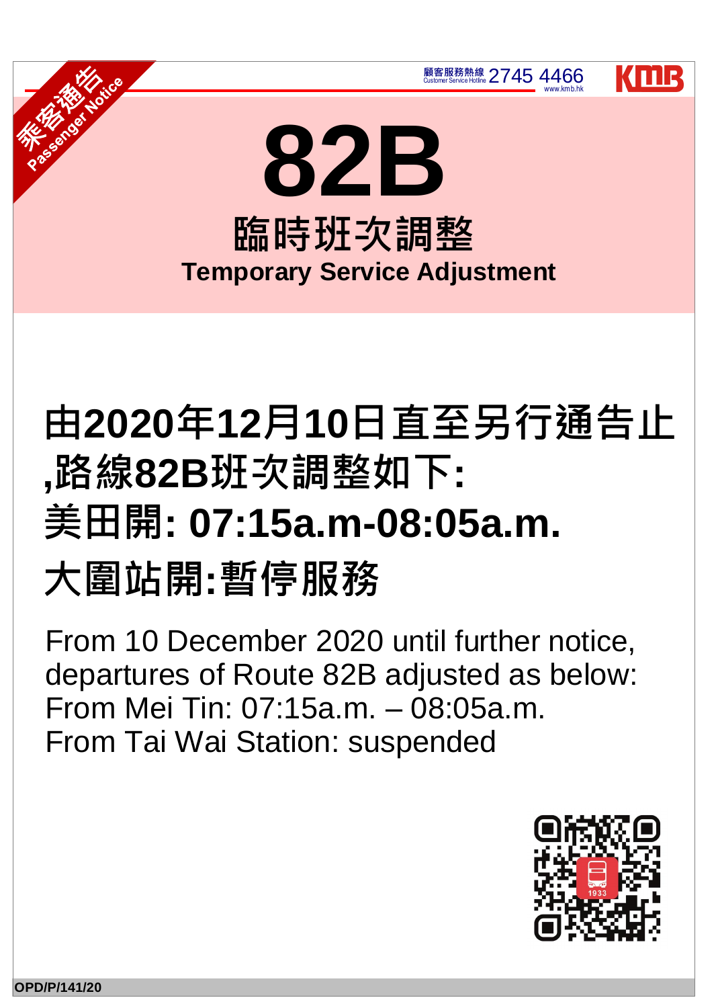## **由2020年12月10日直至另行通告止 ,路線82B班次調整如下: 美田開: 07:15a.m-08:05a.m. 大圍站開:暫停服務**



From 10 December 2020 until further notice, departures of Route 82B adjusted as below: From Mei Tin: 07:15a.m. – 08:05a.m. From Tai Wai Station: suspended



#### **OPD/P/141/20**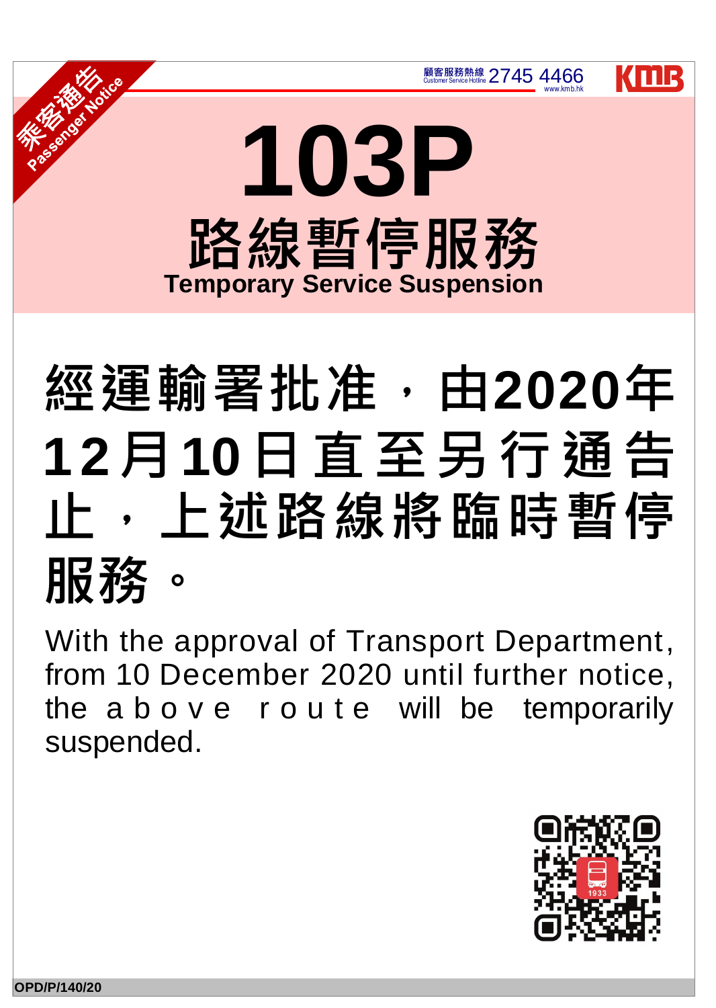**顧客服務熱線 2745 4466** www.kmb.hk



# **經運輸署批准,由2020年 1 2月10日直至另行通告 止,上述路線將臨時暫停** 服務。

## **路線暫停服務 Temporary Service Suspension 103P**

With the approval of Transport Department, from 10 December 2020 until further notice, the a b o v e r o u t e will be temporarily suspended.



#### **OPD/P/140/20**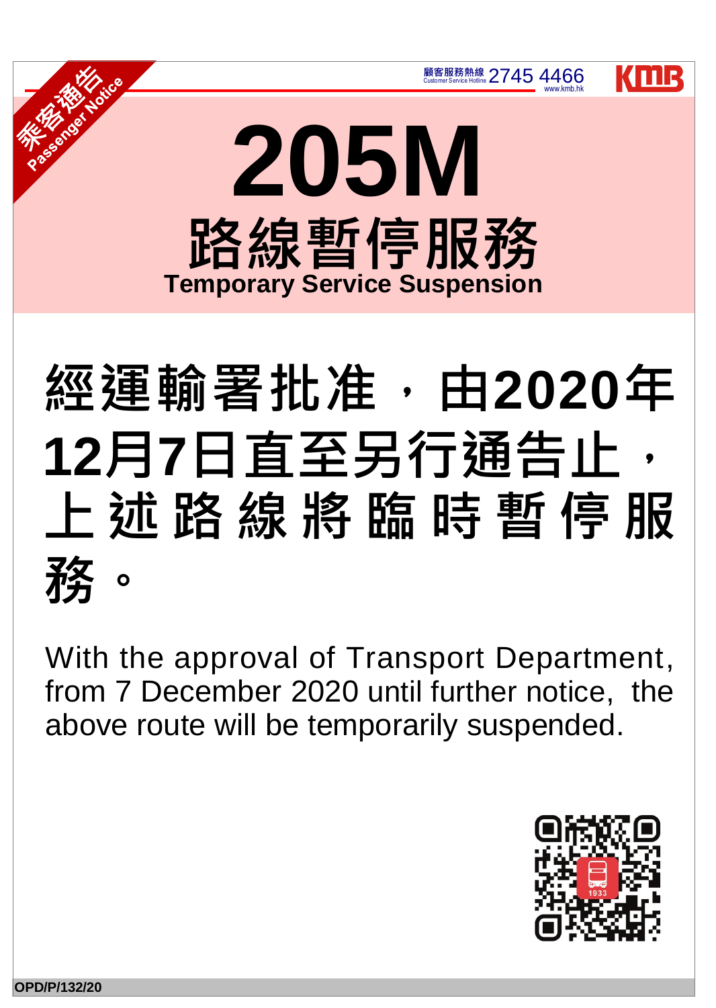# **經運輸署批准,由2020年 12月7日直至另行通告止, 上 述 路 線 將 臨 時 暫 停 服 務。**

顧客服務熱線 2745 4466 www.kmb.hk **路線暫停服務 Temporary Service Suspension 205M**

With the approval of Transport Department, from 7 December 2020 until further notice, the above route will be temporarily suspended.



KILLE

#### **OPD/P/132/20**